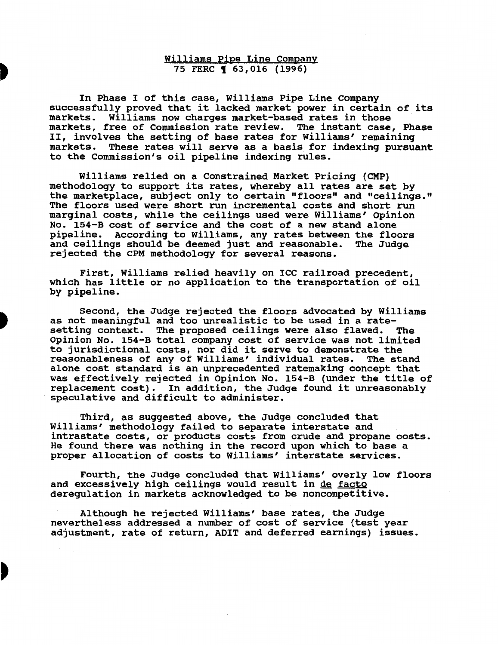# Williams Pipe Line Company 75 FERC **163,016 (1996)**

In Phase I of this case, Williams Pipe Line Company successfully proved that it lacked market power in certain of its markets. Williams now charges market-based rates in those markets, free of Commission rate review. The instant case, Phase II, involves the setting of base rates for Williams' remaining markets. These rates will serve as a basis for indexing pursuant to the Commission's oil pipeline indexing rules.

Williams relied on a Constrained Market Pricing (CMP) methodology to support its rates, whereby all rates are set by the marketplace, subject only to certain "floors" and "ceilings." The floors used were short run incremental costs and short run marginal costs, while the ceilings used were Williams' Opinion No. 154-B cost of service and the cost of a new stand alone pipeline. According to Williams, any rates between the floors and ceilings should be deemed just and reasonable. The Judge rejected the CPM methodology for several reasons.

First, Williams relied heavily on ICC railroad precedent, which has little or no application to the transportation of oil by pipeline.

Second, the Judge rejected the floors advocated by Williams as not meaningful and too unrealistic to be used in a ratesetting context. The proposed ceilings were also flawed. The Opinion No. 154-B total company cost of service was not limited to jurisdictional costs, nor did it serve to demonstrate the reasonableness of any of Williams' individual rates. The stand alone cost standard is an unprecedented ratemaking concept that was effectively rejected in Opinion No. 154-B (under the title of replacement cost). In addition, the Judge found it unreasonably speculative and difficult to administer.

Third, as suggested above, the Judge concluded that Williams' methodology failed to separate interstate and intrastate costs, or products costs from crude and propane costs. He found there was nothing in the record upon which to base a proper allocation of costs to Williams' interstate services.

Fourth, the Judge concluded that Williams' overly low floors and excessively high ceilings would result in de facto deregulation in markets acknowledged to be noncompetitive.

Although he rejected Williams' base rates, the Judge nevertheless addressed a number of cost of service (test year adjustment, rate of return, ADIT and deferred earnings) issues.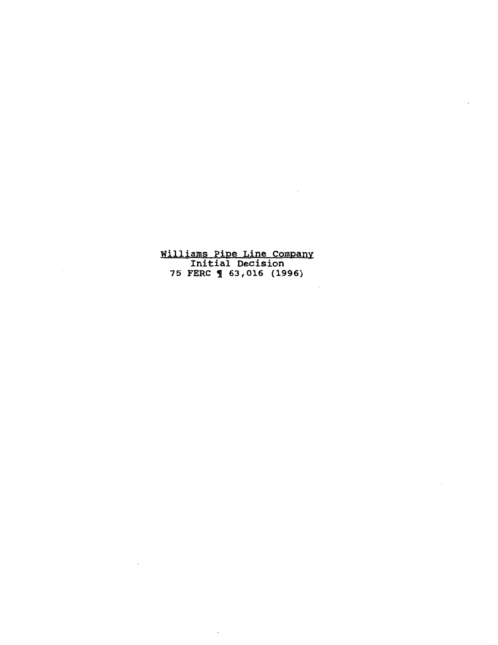Williams Pipe Line Company Initial Decision 75 FERC ¶ 63,016 (1996)

 $\bar{\mathcal{A}}$ 

 $\mathcal{L}_{\mathcal{A}}$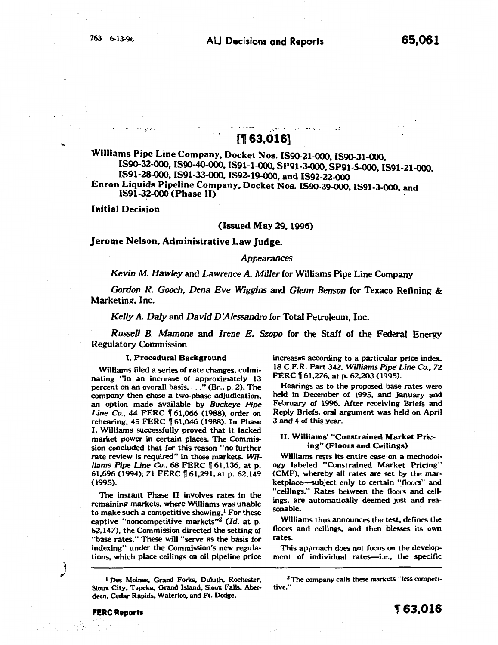# [1 63,016]

 $\mathbf{r}_1$ 

 $\ddot{\phantom{a}}$ :

Williams Pipe Line Company, Docket Nos. IS90-21-000, IS90-31-000. IS90-32-000, IS90-40-000, IS91-l-OOO, SP91-3-000, SP91-5-000, IS91-21-000, IS91-28-000, IS91-33-000. IS92-19-000, and IS92-22-000 Enron Liquids Pipeline Company, Docket Nos. IS90-39-000. IS91-J-OOO. and IS91-32-000 (Phase II)

Initial Decision

# (Issued May 29, 1996)

# Jerome Nelson. Administrative Law Judge.

## *Appearances*

*Kevin M. Hawley* and *Lawrence A. Miller* for Williams Pipe Line Company

*Gordon R. Gooch, Dena Eve Wiggins* and *Glenn Benson* for Texaco Refining & Marketing, Inc.

*Kelly A. Daly* and *David D'Alessandro* for Total Petroleum. Inc.

*Russell B. Mamone* and *Irene E. Szopo* for the Staff of the Federal Energy Regulatory Commission

## I. Procedural Background

Williams filed a series of rate changes, culminating "in an increase of approximately 13 percent on an overall basis, ... " (Br., p. 2). The company then chose a two-phase adjudication, an option made available by *Buckeye Pipe Line Co.*, 44 FERC 161,066 (1988), order on rehearing, 45 FERC 161,046 (1988). In Phase I. Williams successfully proved that it lacked market power in certain places. The Commission concluded that for this reason "no further rate review is required" in those markets. *Williams Pipe Line Co.*, 68 FERC 161,136, at p. 61,696 (1994); 71 FERC [61,291, at p. 62,149 (1995).

The instant Phase II involves rates in the remaining markets, where Williams was unable to make such a competitive showing.<sup>1</sup> For these captive "noncompetitive markets"<sup>2</sup> (Id. at p. 62,147), the Commission directed the setting of "base rates." These will "serve as the basis for indexing" under the Commission's new regulations, which place ceilings on oil pipeline price

<sup>1</sup> Des Moines, Grand Forks, Duluth, Rochester, Sioux City, Topeka, Grand Island, Sioux Falls, Aberdeen, Cedar Rapids, Waterloo, and Ft. Dodge.

increases according to a particular price index. 18 C.F.R. Part 342. *Williams Pipe Line* Co., 72 FERC  $[ 61, 276, 41, 62, 203, 1995]$ .

Hearings as to the proposed base rates were held in December of 1995, and January and February of 1996. After receiving Briefs and Reply Briefs, oral argument was held on April 3 and 4 of this year.

## II. Williams' "Constrained Market Pricing" (Floors and Ceilings)

Williams rests its entire case on a methodology labeled "Constrained Market Pricing" (CMP), whereby all rates are set by the marketplace--subject only to certain "floors" and "ceilings." Rates between the floors and ceilings, are automatically deemed just and reasonable.

Williams thus announces the test, defines the floors and ceilings, and then blesses its own rates.

This approach does not focus on the development of individual rates-i.e., the specific

ी

 $2$  The company calls these markets "less competitive.'"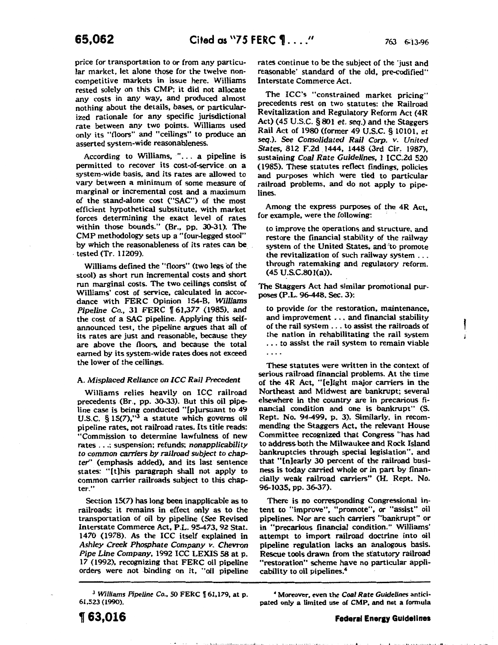l

price for transportation to or from any particular market, let alone those for the twelve noncompetitive markets in issue here. Williams rested solely on this CMP; it did not allocate any costs in any way, and produced almost nothing about the details, bases, or particularized rationale for any specific jurisdictional rate between any two points. Williams used only its "floors" and "ceilings" to produce an asserted system-wide reasonableness.

According to Williams, "... a pipeline is permitted to recover its cost-of-service. on a system-wide basis, and its rates are allowed to vary between a minimum of some measure of marginal or incremental cost and a maximum of the stand-alone cost ("SAC") of the most efficient hypothetical substitute, with market forces determining the exact level of rates within those bounds." (Br., pp. 30-31). The CMP methodology sets up a "four-legged stool" by which the reasonableness of its rates can be\_ . tested (Tr. 11209).

Williams defined the "floors" (two legs of the stool) as short run incremental costs and short run marginal costs. The two ceilings consist of Williams' cost of service, calculated in accordance with FERC Opinion 154-B, *Williams Pipeline Co.*, 31 FERC  $\llbracket 61,377$  (1985), and the cost of a SAC pipeline. Applying this selfannounced test, the pipeline argues that all of its rates are just and reasonable, because they are above the floors, and because the total earned by its system-wide rates does not exceed the lower of the ceilings.

#### A. *Misplaced Reliance on ICC Rail Precedent*

Williams relies heavily on ICC railroad precedents (Br., pp. 30-33). But this oil pipeline case is being conducted "[p)ursuant to 49 U.S.C.  $\S 15(7)$ ," $3$  a statute which governs oil pipeline rates, not railroad rates. Its title reads: "Commission to determine lawfulness of new rates ... ; suspension; refunds; *nonapplicability*  to *common carriers by railroad* subject *to chapter'* (emphasis added), and its last sentence states: "[t)his paragraph shall not apply to common carrier railroads subject to this chapter."

Section 15(7) has long been inapplicable as to railroads; it remains in effect only as to the transportation of oil by pipeline (See Revised Interstate Commerce Act, P.L. 95-473, 92 Stat. 1470 (1978). As the ICC itself explained in *Ashley Creek Phosphate Company v. Chevron Pipe Line Company,* 1992 ICC LEXIS 58 at p. 17 (1992), recognizing that FERC oil pipeline orders were not binding on it, "oil pipeline

<sup>3</sup> Williams Pipeline Co., 50 FERC  $\sqrt{61,179}$ , at p. 61,523 (1990).

rates continue to be the subject of the 'just and reasonable' standard of the old, pre-codified" Interstate Commerce Act.

The ICC's "constrained market pricing" precedents rest on two statutes: the Railroad Revitalization and Regulatory Reform Act (4R Act) (45 U.S.C. § 801 *et.* seq.) and the Staggers Rail Act of 1980 (former 49 U.S.C. § 10101. *et*  seq.). See *Consolidated Rail Corp. v. United States,* 812 F.2d .1444, 1448 (3rd Cir. 1987), sustaining *Coal Rate Guidelines,* 1 ICC.2d 520 (1985). These statutes reflect findings, policies and purposes which were tied to particular railroad problems, and do not apply to pipelines.

Among the express purposes of the 4R Act, for example, were the following:

to improve the operations and structure, and restore the financial stability of the railway system of the United States, and 'to promote the revitalization of such railway system ... through ratemaking and regulatory reform. (45 U.S.C.801(a)).

The Staggers Act had similar promotional purposes (P.L. 96-448, Sec. 3):

to provide for the restoration, maintenance, and improvement ... and financial stability of the rail system ... to assist the railroads of the nation in rehabilitating the rail system . . . to assist the rail system to remain viable

These statutes were written in the context of serious railroad financial problems. At the time of the 4R Act, "(e]ight major carriers in the Northeast and Midwest are bankrupt; several elsewhere in the country are in precarious financial condition and one is bankrupt" (S. Rept. No. 94-499, p. 3). Similarly, in recommending the Staggers Act, the relevant House Committee recognized that Congress "has had to address. both the Milwaukee and Rock Island bankruptcies through special legislation". and that "[n)early 30 percent of the railroad business is today carried whole or in part by financially weak railroad carriers" (H. Rept. No. 96-1035, pp. 36-37).

There is no corresponding Congressional intent to "improve", "promote", or "assist" oil pipelines. Nor are such carriers "bankrupt" or in "precarious financial condition." Williams' attempt to import railroad doctrine into oil pipeline regulation lacks an analogous basis. Rescue tools drawn from the statutory railroad "restoration" scheme have no particular applicability to oil pipelines.4

• Moreover, even the *Coal Rate Guidelines* anticipated only a limited use of CMP, and not a formula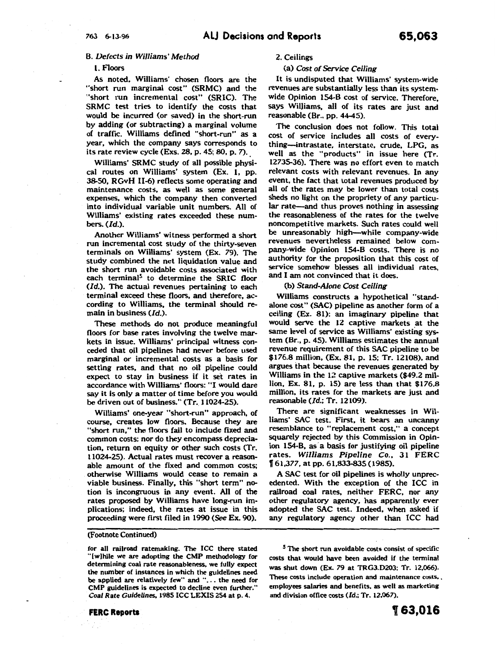# B. *Defects in Wi/liams* · *Method*

## 1. Floors

As noted, Williams' chosen floors are the "short run marginal cost" (SRMC) and the "short run incremental cost" (SRIC). The SRMC test tries to identify the costs that would be incurred (or saved) in the short-run by adding (or subtracting) a marginal volume of traffic. Williams defined "short-run" as a year, which the company says corresponds to its rate review cycle (Exs. 28, p. 45; 80, p. 7).

Williams' SRMC study of all possible physical routes on Williams' system (Ex. 1, pp. 38-50, RGvH 11-6) reflects some operating and maintenance costs, as well as some general expenses, which the company then converted into individual variable unit numbers. All of Williams' existing rates exceeded these numbers.  $(Id.)$ .

Another Williams' witness performed a short run incremental cost study of the thirty-seven terminals on Williams' system (Ex. 79). The study combined the net liquidation value and the short run avoidable costs associated with each terminal<sup>5</sup> to determine the SRIC floor (Id.). The actual revenues pertaining to each terminal exceed these floors, and therefore, according to Williams, the terminal should remain in business (Jd.).

These methods do not produce meaningful floors for base rates involving the twelve markets in issue. Williams' principal witness conceded that oil pipelines had never before used marginal or incremental costs as a basis for setting rates, and that no oil pipeline could expect to stay in business if it set rates in accordance with Williams' floors: "I would dare say it is only a matter of time before you would be driven out of business." (Tr. 11024-25).

Williams' one-year "short-run" approach, of course, creates low floors. Because they are "short run," the floors fail to include fixed and common costs; nor do they encompass depreciation, return on equity or other such costs (Tr. 11024-25). Actual rates must recover a reasonable amount of the fixed and common costs; otherwise Williams would cease to remain a viable business. Finally, this "short term" notion is incongruous in any event. All of the rates proposed by Williams have long-run implications; indeed, the rates at issue in this proceeding were first filed in 1990 (See Ex. 90).

#### (Footnote Continued)

for all railroad ratemaklng. The ICC there stated "[w]hile we are adopting the CMP methodology for determining coal rate reasonableness, we fully expect the number of instances in which the guidelines need be applied are relatively few" and "... the need for CMP guidelines is expected to decline even further." *Coal Rate Guidelines,* 1985 ICC LEXIS 254 at p. 4.

## (a) *Cost of Service Ceiling*

It is undisputed that Williams' system-wide revenues are substantially less than its systemwide Opinion 154-8 cost of service. Therefore, says Williams, all of its rates are just and reasonable (Br., pp. 44-45).

The conclusion does not follow. This total cost of service includes all costs of everything-intrastate, interstate, crude, LPG, as well as the "products" in issue here (Tr. 12735-36). There was no effort even to match relevant costs with relevant revenues. In any event, the fact that total revenues produced by all of the rates may be lower than total costs sheds no light on the propriety of any particular rate-and thus proves nothing in assessing the reasonableness of the rates for the twelve noncompetitive markets. Such rates could well be unreasonably high-while company-wide revenues nevertheless remained below company-wide Opinion 154-8 costs. There is no authority for the proposition that this cost of service somehow blesses all individual rates, and I am not convinced that it does.

(b) *Stand-Alone Cost Ceiling* 

Williams constructs a hypothetical "standalone cost" (SAC) pipeline as another form of a ceiling (Ex. 81): an imaginary pipeline that would serve the 12 captive markets at the same level of service as Williams' existing system (Br., p. 45). Williams estimates the annual revenue requirement of this SAC pipeline to be \$176.8 million, (Ex. 81, p. 15; Tr. 12108), and argues that because the revenues generated by Williams in the 12 captive markets (\$49.2 million, Ex. 81, p. 15) are less than that \$176.8 million, its rates for the markets are just and reasonable *(ld.;* Tr. 12109).

There are significant weaknesses in Williams' SAC test. First, it bears an uncanny resemblance to "replacement cost," a concept squarely rejected by this Commission in Opinion 154-B, as a basis for justifying oil pipeline rates. *Williams Pipeline* Co., 31 FERC f 61,377, at pp. 61,833-835 (1985).

A SAC test for oil pipelines is wholly unprecedented. With the exception of the ICC in railroad coal rates, neither FERC. nor any other regulatory agency, has apparently ever adopted the SAC test. Indeed, when asked if any regulatory agency other than ICC had

*s* The short run avoidable costs consist of specific costs that would have been avoided if the terminal was shut down (Ex. 79 at TRGJ.D20J: Tr. 12,066). These costs include operation and maintenance costs, . employees salaries and benefits. as well as marketing and division office costs (Id.; Tr. 12,067).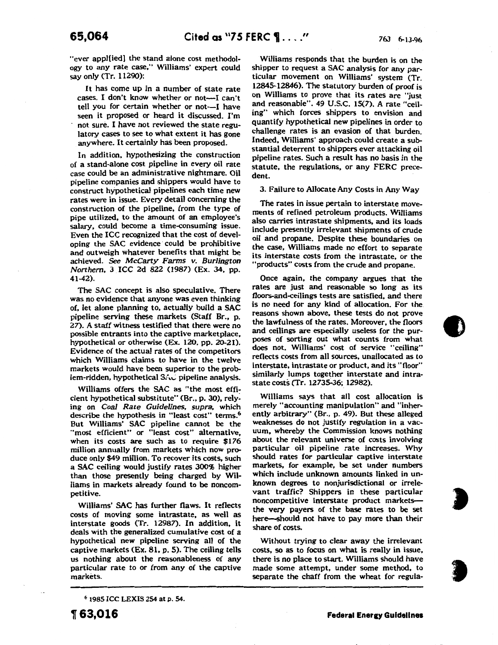"ever appl(ied) the stand alone cost methodology to any rate case," Williams' expert could say only (Tr. 11290):

It has come up in a number of state rate cases. I don't know whether or not-I can't tell you for certain whether or not-I have seen it proposed or heard it discussed. I'm not sure. I have not reviewed the state regulatory cases to see to what extent it has gone anywhere. It certainly has been proposed.

In addition, hypothesizing the construction of a stand-alone cost pipeline in every oil rate case could be an administrative nightmare. Oil pipeline companies and shippers would have to construct hypothetical pipelines each time new rates were in issue. Every detail concerning the construction of the pipeline, from the type of pipe utilized, to the amount of an employee's salary, could become a time-consuming issue. Even the ICC recognized that the cost of developing the SAC evidence· could be prohibitive and outweigh whatever benefits that might be achieved. *See McCarty Farms v. Burlington Northern,* 3 ICC 2d 822 (1987) (Ex. 34, pp. 41-42).

The SAC concept is also speculative. There was no evidence that anyone was even thinking of, let alone planning to, actually build a SAC pipeline serving these markets (Staff Br., p. 27). A staff witness testified that there were no possible entrants into the captive marketplace, hypothetical or otherwise (Ex. 120, pp. 20-21). Evidence of the actual rates of the competitors which Williams claims to have in the twelve markets would have been superior to the problem-ridden, hypothetical S.t. pipeline analysis.

Williams offers the SAC as "the most efficient hypothetical substitute" (Br., p. 30), rely: ing on *Coal Rate Guidelines, supra,* which describe the hypothesis in "least cost" terms.<sup>6</sup> But Williams' SAC pipeline cannot be the "most efficient" or "least cost" alternative, when its costs are such as to require \$176 million annually from markets which now produce only \$49 million. To recover its costs, such a SAC ceiling would justify rates 300% higher than those presently being charged by Williams in markets already found to be noncompetitive.

Williams' SAC has further flaws. It reflects costs of moving some intrastate, as well as interstate goods (Tr. 12987). In addition, it deals with the generalized cumulative cost of a hypothetical new pipeline serving all of the captive markets (Ex. 81, p. 5). The ceiling tells us nothing about the reasonableness of any particular rate to or from any of the captive markets.

Williams responds that the burden is on the shipper to request a SAC analysis for any particular movement on Williams' system (Tr. 12845-12846). The statutory burden of proof is on Williams to prove that its rates are "just and reasonable". 49 U.S.C. 15(7). A rate "ceiling" which forces shippers to envision and quantify hypothetical new pipelines in order to challenge rates is an evasion of that burden. Indeed, Williams' approach could create a substantial deterrent to shippers ever attacking oil pipeline rates. Such a result has no basis in the statute, the regulations, or any FERC precedent.

#### 3. Failure to Allocate Any Costs in Any Way

The rates in issue pertain to interstate movements of refined petroleum products. Williams also carries intrastate shipments, and its loads include presently irrelevant shipments of crude oil and propane. Despite these boundaries on the case, Williams made no effort to separate its interstate costs from the intrastate, or the "products" costs from the crude and propane.

Once again, the company argues that the rates are just and reasonable so long as its floors-and-ceilings tests are satisfied, and there is no need for any kind of allocation. For the. reasons shown above, these tests do not prove the lawfulness of the rates. Moreover, the floors and ceilings are especially useless for the purposes of sorting out what counts from what does not. Williams' cost of service "ceiling" reflects costs from all sources, unallocated as to interstate, intrastate or product, and its "floor" similarly lumps together interstate and intrastate costs (Tr. 12735-36; 12982).

Williams says that all cost allocation is merely "accounting manipulation" and "inherently arbitrary" (Br., p. 49). But these alleged weaknesses do not justify regulation in a vacuum, whereby the Commission knows nothing about the relevant universe of costs involving particular oil pipeline rate increases. Why should rates for particular captive interstate markets, for example, be set under numbers which include unknown amounts linked in unknown degrees to nonjurisdictional or irrelevant traffic? Shippers in these particular noncompetitive interstate product marketsthe very payers of the base rates to be set here-should not have to pay more than their share of costs.

Without trying to clear away the irrelevant costs, so as to focus on what is really in issue, there is no place to start. Williams should have made some attempt, under some method, to separate the chaff from the wheat for regula-

**a** 

6 1985 ICC LEXIS 254 at p. 54.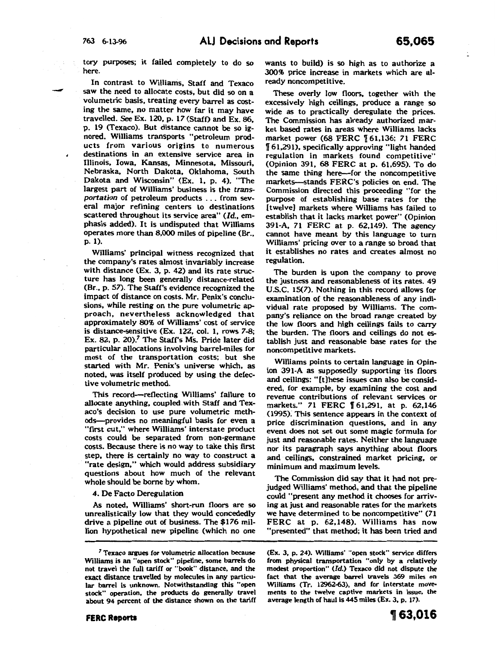-

tory purposes; it failed completely to do so here.

In contrast to Williams, Staff and Texaco saw the need to allocate costs, but did so on a volumetric basis, treating every barrel as costing the same, no matter how far it may have travelled. See Ex. 120, p. 17 (Staff) and Ex. 86, p. 19 (Texaco). But distance cannot be so ignored. Williams transports "petroleum products from various origins to numerous destinations in an extensive service area in Illinois, Iowa, Kansas, Minnesota, Missouri, Nebraska, North Dakota, Oklahoma, South Dakota and Wisconsin" (Ex. l, p. 4). "The largest part of Williams' business is the *transportation* of petroleum products . . . from several major refining centers to destinations scattered throughout its service area" (Id., emphasis added). It is undisputed that Williams operates more than 8,000 miles of pipeline (Br., p. 1).

Williams' principal witness recognized that the company's rates almost invariably increase with distance (Ex. 3, p. 42) and its rate structure has long been generally distance-related (Br., p. 57). The Staff's evidence recognized the impact of distance on costs. Mr. Penix's conclusions, while resting on the pure volumetric approach, nevertheless acknowledged that approximately 80% of Williams' cost of service is distance-sensitive (Ex. 122, col. 1, rows 7-8; Ex. 82, p. 20)/ The Staff's Ms. Pride later did particular allocations involving barrel-miles for most of the transportation costs; but she started with Mr. Penix's universe which, as noted, was itself produced by using the defective volumetric method.

This record-reflecting Williams' failure to allocate anything, coupled. with Staff and Texaco's decision to use pure volumetric methods-provides no meaningful basis for even a "first cut," where Williams' interstate product costs could be separated from non-germane costs. Because there is no way to take this first step, there is certainly no way to construct a "rate design," which would address subsidiary questions about how much of the relevant whole should be borne by whom.

#### 4. De Facto Deregulation

As noted, Williams' short-run floors are so unrealistically low that they would concededly drive a pipeline out of business. The \$176 million hypothetical new pipeline (which no one wants to build) is so high as to authorize a 300% price increase in markets which are already noncompetitive.

These overly low floors, together with the excessively high ceilings, produce a range so wide as to practically deregulate the prices. The Commission has already authorized market based rates in areas where Williams lacks market power (68 FERC [61,136; 71 FERC ff 61,291), specifically approving "light handed regulation in markets found competitive" (Opinion 391, 68 FERC at p. 61,695). To do the same thing here-for the noncompetitive markets-stands FERC's policies on end. The Commission directed this proceeding "for the purpose of establishing base rates for the [twelve] markets where Williams has failed to establish that it lacks market power" (Opinion 391-A, 71 FERC at p. 62,149). The agency cannot have meant by this language to turn Williams' pricing over to a range so broad that it establishes no rates and creates almost no regulation.

The burden is upon the company to prove the justness and reasonableness of its rates. 49 U.S.C. 15(7). Nothing in this record allows for examination of the reasonableness of any individual rate proposed by Williams. The company's reliance on the broad range created by the low floors and high ceilings fails to carry the burden; The floors and ceilings do not establish just and reasonable base rates for the noncompetitive markets.

Williams points to certain language in Opinion 391-A as supposedly supporting its floors and ceilings: "(t]hese issues can also be considered, for example, by examining the cost and revenue contributions of relevant services or markets." 71 FERC 161,291, at p. 62,146 (1995); This sentence appears in the context of price discrimination questions, and in any event does not set out some magic formula for just and reasonable rates. Neither the language nor its paragraph says anything about floors and ceilings, constrained market pricing, or minimum and maximum levels.

The Commission did say that it had not prejudged Williams' method, and that the pipeline could "present any method it chooses for arriving at just and reasonable rates for the markets we have determined to be noncompetitive" (71 FERC at p. 62,148). Williams has now "presented" that method; it has been tried and

(Ex. 3, p. 24). Williams' "open stock" service differs from physical transportation "only by a relatively modest proportion" (Id.) Texaco did not dispute the fact that the average barrel travels 369 miles on Williams (Tr. 12962-63), and for interstate movements to the twelve captive markets in issue, the average length of haul is 445 miles (Ex. 3, p. 17).

<sup>7</sup> Texaco argues for volumetric allocation because Williams is an "open stock" pipeline, some barrels do not travel the full tariff or "book" distance, and the exact distance travelled by molecules in any particular barrel is unknown. Notwithstanding this "open stock" operation, the products do generally travel about 94 percent of the distance shown on the tariff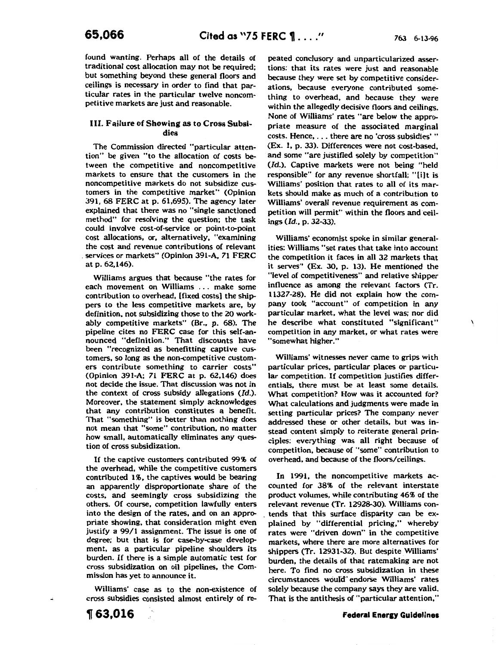$\lambda$ 

found wanting. Perhaps all of the details of traditional cost allocation may not be required; but something beyond these general floors and ceilings is necessary in order to find that particular rates in the particular twelve noncompetitive markets are just and reasonable.

# III. Failure of Showing as to Cross Subsidies

The Commission directed "particular attention" be given "to the allocation of costs between the competitive and noncompetitive markets to ensure that the customers in the noncompetitive markets do not subsidize customers in the competitive market" (Opinion 391, 68 FERC at p. 61,695). The agency later explained that there was no "single sanctioned method" for resolving the question; the task could involve cost-of-service or point-to-point cost allocations, or, alternatively, "examining the cost and revenue contributions of relevant services or markets" (Opinion 391-A, 71 FERC at p. 62,146).

Williams argues that because "the rates for each movement on Williams ... make some contribution to overhead, [fixed costs) the shippers to the less competitive markets are, by definition, not subsidizing those to the 20 workably competitive markets" (Br.. p. 68). The pipeline cites no FERC case for this self-announced "definition." That discounts have been "recognized as benefitting captive customers, so long as the non-competitive customers contribute something to carrier costs" (Opinion 391-A; 71 FERC at p. 62,146) does not decide the issue. That discussion was not in the context of cross subsidy allegations (Id.). Moreover, the statement simply acknowledges that any contribution constitutes a benefit. That "something" is better than nothing does not mean that "some" contribution, no matter how small, automatically eliminates any question of cross subsidization.

If the captive customers contributed 99% of the overhead, while the competitive customers contributed 1%, the captives would be bearing an apparently disproportionate share of the costs, and seemingly cross subsidizing the others. Of course, competition lawfully enters into the design of the rates, and on an appropriate showing, that consideration might even justify a 99/1 assignment. The issue is one of degree; but that is for case-by-case development, as a particular pipeline shoulders its burden. If there is a simple automatic test for cross subsidization on oil pipelines, the Commission has yet to announce it.

Williams' case as to the non-existence of cross subsidies consisted almost entirely of repeated conclusory and unparticularized assertions: that its rates were just and reasonable because they were set by competitive considerations, because everyone contributed something to overhead, and because they were within the allegedly decisive floors and ceilings. None of Williams' rates "are below the appropriate measure of the associated marginal costs. Hence, ... there are no 'cross subsidies'" (Ex. 1, p. 33). Differences were not cost-based, and some "are justified solely by competition" (Id.). Captive markets were not being "held responsible" for any revenue shortfall; "[i]t is Williams' position that rates to all of its markets should make as much of a contribution to Williams' overall revenue requirement as competition will permit" within the floors and ceil $ings (Id., p. 32-33).$ 

Williams' economist spoke in similar generalities: Williams "set rates that take into account the competition it faces in all 32 markets that it serves" (Ex. 30, p. 13). He mentioned the "level of competitiveness" and relative shipper influence as among the relevant factors (Tr. 11327-28). He did not explain how the company took "account" of competition in any particular market, what the level was; nor did he describe what constituted "significant" competition in any market, or what rates were "somewhat higher."

Williams' witnesses never came to grips with particular prices, particular places or particular competition. If competition justifies differentials, there must be at least some details. What competition? How was it accounted for? What calculations and judgments were made in setting particular prices? The company never addressed these or other details, but was instead content simply to reiterate general principles: everything was all right because of competition, because of "some" contribution to overhead, and because of the floors/ceilings.

In 1991, the noncompetitive markets accounted for 38% of the relevant interstate product volumes, while contributing 46% of the relevant revenue (Tr. 12928-30). Williams con- . tends that this surface disparity can be explained by "differential pricing," whereby rates were "driven down" in the competitive markets, where there are more alternatives for shippers (Tr. 12931-32). But despite Williams' burden, the details of that ratemaking are not here. To find no cross subsidization in these circumstances would" endorse Williams' rates solely because the company says they are valid. That is the antithesis of "particular attention,"

<sup>~</sup>63,016

**Federal Energy Guidelines**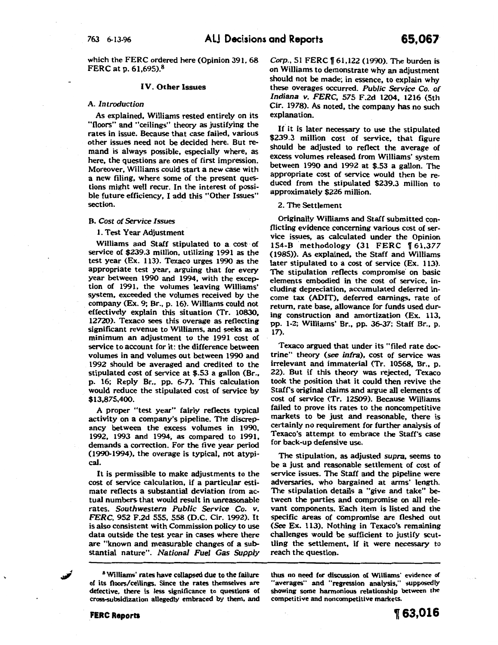which the FERC ordered here (Opinion 391, 68 FERC at p. 61,695).8

#### IV. Other Issues

## A. *Introduction*

As explained, Williams rested entirely on its "floors" and "ceilings" theory as justifying the rates in issue. Because that case failed, various other issues need not be decided here. But remand is always possible, especially where, as here, the questions are ones of first impression. Moreover, Williams could start a new case with a new filing, where some of the present questions might well recur. In the interest of possible future efficiency, I add this "Other Issues" section.

#### B. *Cost of Service Issues*

1. Test Year Adjustment

Williams and Staff stipulated to a cost of service of \$239.3 million, utilizing 1991 as the test year (Ex. 113). Texaco urges 1990 as the appropriate test year, arguing that for every year between 1990 and 1994, with the exception of 1991, the volumes leaving Williams' system, exceeded the volumes received by the . company (Ex. 9; Br., p. 16). Williams could not effectively explain this situation (Tr. 10830, 12720). Texaco sees this overage as reflecting significant revenue to Williams, and seeks as a minimum an adjustment to the 1991 cost of service to account for it: the difference between volumes in and volumes out between 1990 and 1992 should be averaged and credited to the stipulated cost of service at \$.53 a gallon (Br., p. 16; Reply Br., pp. 6-7). This calculation would reduce the stipulated cost of service by \$13,875,400.

A proper "test year" fairly reflects typical activity on a company's pipeline. The discrepancy between the excess volumes in 1990, 1992, 1993 and 1994, as compared to 1991, demands a correction. For the five year period (1990-1994), the overage is typical, not atypical.

It is permissible to make adjustments to the cost of service calculation. if a particular estimate reflects a substantial deviation from actual numbers that would result in unreasonable rates. *Southwestern Public Service* Co. *v. FERC,* 952 F.2d 555, 558 (D.C. Cir. 1992). It is also consistent with Commission policy to use data outside the test year in cases where there are "known and measurable changes of a substantial nature". *National Fuel Gas Supply* 

8 Williams' rates have collapsed due to the failure of its floors/ceilings. Since the rates themselves are defective, there is less significance to questions of cross-subsidization allegedly embraced by them, and

*Corp.,* 51 FERC ff 61,122 (1990). The burden is on Williams to demonstrate why an adjustment should not be made; in essence, to explain why these overages occurred. *Public Service* Co. *of Indiana v. FERC,* 575 F.2d 1204, 1216 (5th Cir. 1978). As noted, the company has no such explanation.

If it is later necessary to use the stipulated \$239.3 million cost of service, that figure should be adjusted to reflect the average of excess volumes released from Williams' system between 1990 and 1992 at *\$.53* a gallon. The appropriate cost of service would then be reduced from the stipulated \$239.3 million to approximately \$226 million.

#### 2. The Settlement

Originally Williams and Staff submitted conflicting evidence concerning various cost of service issues, as calculated under the Opinion 154-B methodology (31 FERC 161,377 (1985)). As explained, the Staff and Williams later stipulated to a cost of service (Ex. 113). The stipulation reflects compromise on basic elements embodied in the cost of service, including depreciation, accumulated deferred income tax (ADIT), deferred earnings, rate of return, rate base, allowance for funds used during construction and amortization (Ex. 113, pp. 1-2; Williams' Br., pp. 36-37; Staff Br., p. 17).

Texaco argued that under its "filed rate doctrine" theory (see *infra),* cost of service was irrelevant and immaterial (Tr. 10568, Br., p. 22). But if this theory was rejected, Texaco took the position that it could then revive the Staff's original claims and argue all elements of cost of service (Tr. 12509). Because Williams failed to prove its rates to the noncompetitive markets to be just and reasonable, there is certainly no requirement for further analysis of Texaco's attempt to embrace the Staff's case for back-up defensive use.

The stipulation, as adjusted *supra,* seems to be a just and reasonable settlement of cost of service issues. The Staff and the pipeline were adversaries, who bargained at arms' length. The stipulation details a "give and take" between the parties and compromise on all relevant components. Each item is listed and the specific areas of compromise are fleshed out (See Ex. 113). Nothing in Texaco's remaining challenges would be sufficient to justify scuttling the settlement, if it were necessary to reach the question.

thus no need {or discussion of Williams' evidence of "averages" and "regression analysis," supposedly showing some harmonious relationship between the competitive and noncompetitive markets.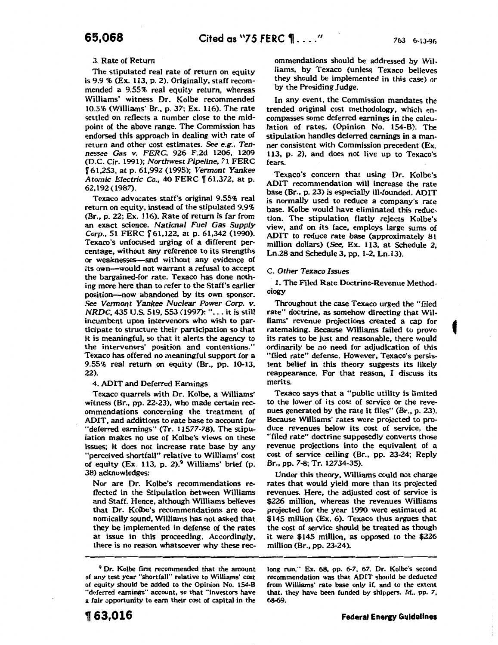# 3. Rate of Return

The stipulated real rate of return on equity is 9.9 % (Ex. 113, p. 2). Originally, staff recommended a 9.55% real equity return, whereas Williams' witness Dr. Kolbe recommended 10.5% (Williams' Br., p. 37; Ex. 116). The rate settled on reflects a number close to the midpoint of the above range. The Commission has endorsed this approach in dealing with rate of return and other cost estimates. *See e.g., Tennessee* Gas v. *FERC,* 926 F.2d 1206, 1209 (D.C. Cir. 1991); *Northwest Pipeline,* 71 FERC ff 61,253, at p. 61,992 (1995); *Vermont Yankee Atomic Electric Co.*, 40 FERC  $\sqrt{61,372}$ , at p. 62,192 ( 1987).

Texaco advocates staff's original 9.55% real return on equity, instead of the stipulated 9.9% (Br., p. 22; Ex. 116). Rate of return is far from an exact science. *National Fuel* Gas *Supply*  Corp., 51 FERC | 61,122, at p. 61,342 (1990). Texaco's unfocused urging of a different percentage, without any reference to its strengths or weaknesses-and without any evidence of its own-would not warrant a refusal to accept the bargained-for rate. Texaco has done nothing more here than to refer to the Staff's earlier position-now abandoned by its own sponsor. See *Vermont Yankee Nuclear Power Corp. v. NRDC, 435 U.S. 519, 553 (1997): "... it is still* incumbent upon intervenors who wish to participate to structure their participation so that it is meaningful, so that it alerts the agency to the intervenors' position and contentions." Texaco has offered no meaningful support for a 9.55% real return on equity (Br., pp. 10-13, 22).

#### 4. ADIT and Deferred Earnings

Texaco quarrels with Dr. Kolbe, a Williams' witness (Br., pp. 22-23), who made certain recommendations concerning the treatment of ADIT, and additions to rate base to account for "deferred earnings" (Tr. 11577-78). The stipulation makes no use of Kolbe's views on these issues; it does not increase rate base by any "perceived shortfall" relative to Williams' cost of equity (Ex. 113, p. 2). $9$  Williams' brief (p. 38) acknowledges:

Nor are Dr. Kolbe's recommendations reflected in the Stipulation between Williams and Staff. Hence, although Williams believes that Dr. Kolbe's recommendations are economically sound, Williams has not asked that they be implemented in defense of the rates at issue in this proceeding. Accordingly, there is no reason whatsoever why these rec-

<sup>9</sup> Dr. Kolbe first recommended that the amount of any test year "shortfall" relative to Williams' cost of equity should be added to the Opinion No. 154-8 "deferred earnings" account, so that "investors have a fair opportunity to earn their cost of capital in the

ommendations should be addressed by Williams, by Texaco (unless Texaco believes they should be implemented in this case) or by the Presiding Judge.

In any event, the Commission mandates the trended original cost methodology, which encompasses some deferred earnings in the calculation of rates. (Opinion No. 154-B). The stipulation handles deferred earnings in a manner consistent with Commission precedent (Ex. 113, p. 2), and does not live up to Texaco's fears.

Texaco's concern that using Dr. Kolbe's ADIT recommendation will increase the rate base (Br., p. 23) is especially ill-founded. ADIT is normally used to reduce a company's rate base. Kolbe would have eliminated this reduction. The stipulation flatly rejects Kolbe's view, and on its face, employs large sums of ADIT to reduce rate base (approximately 81 million dollars) (See, Ex. 113, at Schedule 2, Ln.28 and Schedule 3, pp. 1-2, Ln.13).

## C. *Other Texaco Issues*

1. The Filed Rate Doctrine-Revenue Methodology

Throughout the case Texaco urged the "filed rate" doctrine, as somehow directing that Williams' revenue projections created a cap for ratemaking. Because Williams failed to prove its rates to be just and reasonable, there would ordinarily be no need for adjudication of this "filed rate" defense. However, Texaco's persistent belief in this theory suggests its likely reappearance. For that reason, I discuss its merits.

Texaco says that a "public utility is limited to the lower of its cost of service or the revenues generated by the rate it files" (Br., p. 23). Because Williams' rates were projected to produce revenues below its cost of service, the "filed rate" doctrine supposedly converts those revenue projections into the equivalent of a cost of service ceiling (Br., pp. 23-24; Reply Br., pp. 7-8; Tr. 12734-35).

Under this theory, Williams could not charge rates that would yield more than its projected revenues. Here, the adjusted cost of service is \$226 million, whereas the revenues Williams projected for the year 1990 were estimated at \$145 million (Ex. 6). Texaco thus argues that the cost of service should be treated as though it were \$145 million, as opposed to the \$226 million (Br., pp. 23-24).

long run." Ex. 68, pp. 6-7, 67. Dr. Kolbe's second recommendation was that ADIT should be deducted from Williams' rate base only if, and to the extent that, they have been funded by shippers. Id., pp. 7, 68-69.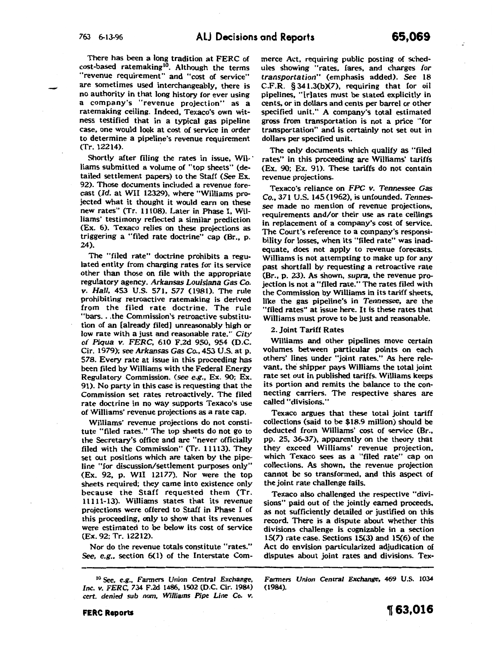There has been a long tradition at FERC of cost-based ratemaking<sup>10</sup>. Although the terms "revenue requirement" and "cost of service" are sometimes used interchangeably, there is no authority in that long history for ever using a company's "revenue projection" as a ratemaking ceiling. Indeed, Texaco's own witness testified that in a typical gas pipeline case, one would look at cost of service in order to determine a pipeline's revenue requirement (Tr. 12214).

Shortly after filing the rates in issue, Wil-Iiams submitted a volume of "top sheets" (detailed settlement papers) to the Staff (See Ex. 92). Those documents included a revenue forecast (Id. at WII 12329), where "Williams projected what it thought it would earn on these new rates" (Tr. 11108). Later in Phase I, Williams' testimony reflected a similar prediction (Ex. 6). Texaco relies on these projections as triggering a "filed rate doctrine" cap (Br., p. 24).

The "filed rate" doctrine prohibits a regulated entity from charging rates for its service other than those on file with the appropriate regulatory agency. *Arkansas Louisiana Gas* Co. v. Hall, 453 U.S. 571, 577 (1981). The rule prohibiting retroactive ratemaking is derived from the filed rate doctrine. The rule "bars ... the Commission's retroactive substitution of an [already filed] unreasonably high or low rate with a just and reasonable rate." *City of Piqua v.* FERC, 610 F.2d 950, 954 (D.C. Cir. 1979); see *Arkansas Gas* Co., 453 U.S. at p. 578. Every rate at issue in this proceeding has been filed by Williams with the Federal Energy Regulatory Commission. (see *e.g.,* Ex. 90; Ex. 91). No party in this case is requesting that the Commission set rates retroactively. The filed rate doctrine in no way supports Texaco's use of Williams' revenue projections *as* a rate cap.

Williams' revenue projections do not constitute "filed rates." The top sheets do not go to the Secretary's office and are "never officially filed with the Commission" (Tr. 11113). They set out positions which are taken by the pipeline "for discussion/settlement purposes only" (Ex. 92, p. WII 12177). Nor were the top sheets required; they came into existence only because the Staff requested them (Tr. 11111-13). Williams states that its revenue projections were offered to Staff in Phase I of this proceeding, only to show that its revenues were estimated to be below its cost of service (Ex. 92; Tr. 12212).

Nor do the revenue totals constitute "rates." *See, e.g.,* section 6(1) of the Interstate Com-

merce Act, requiring public posting of schedules showing "rates, fares, and charges *for transportation"* (emphasis added). *See* 18 C.F.R. § 341.3(b)(7), requiring that for oil pipelines, "(r]ates must be stated explicitly in cents, or in dollars and cents per barrel or other specified unit." A company's total estimated gross from transportation is not a price "for transportation" and is certainly not set out in dollars per specified unit.

The only documents which qualify as "filed rates" in this proceeding are Williams' tariffs (Ex. 90; Ex. 91). These tariffs do not contain revenue projections.

Texaco's reliance on *FPC v. Tennessee Gas*  Co., 371 U.S. 145 (1962), is unfounded. *Tennessee* made no mention of revenue projections, requirements and/or their use as rate ceilings in replacement of a company's cost of service. The Court's reference to a company's responsibility for losses, when its "filed rate" was inadequate, does not apply to revenue forecasts. Williams is not attempting to make up for any past shortfall by requesting a retroactive rate (Br., p. 23). As shown, *supra,* the revenue projection is not a "filed rate." The rates filed with the Commission by Williams in its tariff sheets, like the gas pipeline's in *Tennessee,* are the "filed rates" at issue here. It is these rates that Williams must prove to be just and reasonable.

2. Joint Tariff Rates

Williams and other pipelines move certain volumes between particular points on each others' lines under "joint rates." As here relevant, the shipper pays Williams the total joint rate set out in published tariffs. Williams keeps its portion and remits the balance to the connecting carriers. The respective shares are called "divisions."

Texaco argues that these total joint tariff collections (said to be \$18.9 million) should be deducted from Williams' cost of service (Br., pp. 25, 36-37), apparently on the theory that they exceed Williams' revenue projection, which Texaco sees as a "filed rate" cap on collections. As shown, the revenue projection cannot be so transformed, and this aspect of the joint rate challenge fails.

Texaco also challenged the respective "divisions" paid out of the jointly earned proceeds, as not sufficiently detailed or justified on this record. There is a dispute about whether this divisions challenge is cognizable in a section 15(7) rate case. Sections 15(3) and 15(6) of the Act do envision particularized adjudication of disputes about joint rates and divisions. Tex-

Fanners *Union Central Exchange,* 469 U.S. 1034 (1984).

*<sup>1°</sup>* See, e.g., Fanners *Union* Central *Exchange, Inc. v. FERC,* 734 F.2d 1486, 1502 (D.C. Cir. 1984) *cert. denied sub nom, Williams Pipe Line* Co. *v.*